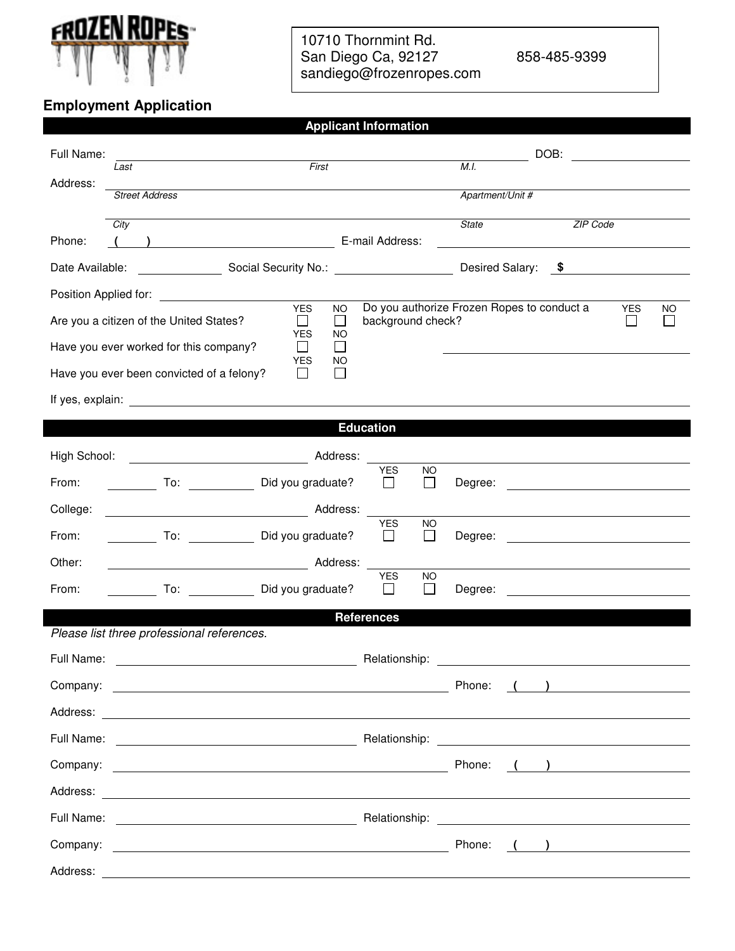

**Employment Application** 

## 10710 Thornmint Rd. San Diego Ca, 92127 858-485-9399 sandiego@frozenropes.com

**Applicant Information** 

| Full Name:<br>Address:<br>Phone:                              | Last<br><b>Street Address</b><br>City<br>$\left(\begin{array}{c} \begin{array}{c} \end{array}\\ \end{array}\right)$                                                                                                                                                                                                                                                                                                | First<br>E-mail Address:                                                                                                     | M.I.<br><b>State</b>                                                                    | DOB:<br>Apartment/Unit # | <b>ZIP Code</b>                                             |                  |  |  |  |
|---------------------------------------------------------------|--------------------------------------------------------------------------------------------------------------------------------------------------------------------------------------------------------------------------------------------------------------------------------------------------------------------------------------------------------------------------------------------------------------------|------------------------------------------------------------------------------------------------------------------------------|-----------------------------------------------------------------------------------------|--------------------------|-------------------------------------------------------------|------------------|--|--|--|
| Desired Salary: \$                                            |                                                                                                                                                                                                                                                                                                                                                                                                                    |                                                                                                                              |                                                                                         |                          |                                                             |                  |  |  |  |
| Position Applied for:                                         | the contract of the contract of the contract of<br>Are you a citizen of the United States?<br>Have you ever worked for this company?<br>Have you ever been convicted of a felony?<br>If yes, explain: The contract of the contract of the contract of the contract of the contract of the contract of the contract of the contract of the contract of the contract of the contract of the contract of the contract | <b>YES</b><br><b>NO</b><br>$\Box$<br>$\Box$<br><b>YES</b><br>NO<br>$\mathcal{L}^{\mathcal{A}}$<br>$\perp$<br>YES<br>NO<br>ΙI | Do you authorize Frozen Ropes to conduct a<br>background check?                         |                          |                                                             | <b>YES</b><br>NO |  |  |  |
|                                                               |                                                                                                                                                                                                                                                                                                                                                                                                                    | <b>Education</b>                                                                                                             |                                                                                         |                          |                                                             |                  |  |  |  |
| High School:<br>From:<br>College:<br>From:<br>Other:<br>From: | Address:<br>To: Did you graduate?<br>Address:<br>To: Did you graduate?<br>To: Did you graduate?                                                                                                                                                                                                                                                                                                                    | <b>YES</b><br>$\mathbf{I}$<br><b>YES</b><br>$\perp$<br><b>YES</b><br>$\perp$<br><b>References</b>                            | <b>NO</b><br>$\Box$<br>Degree:<br>NO<br>$\perp$<br>Degree:<br><b>NO</b><br>H<br>Degree: |                          | <u> 1989 - Jan Sterling Start, fransk politik (d. 1989)</u> |                  |  |  |  |
|                                                               | Please list three professional references.                                                                                                                                                                                                                                                                                                                                                                         |                                                                                                                              |                                                                                         |                          |                                                             |                  |  |  |  |
| Full Name:                                                    |                                                                                                                                                                                                                                                                                                                                                                                                                    | Relationship:                                                                                                                | Phone:                                                                                  |                          | ) and the contract of $\overline{\phantom{a}}$              |                  |  |  |  |
|                                                               |                                                                                                                                                                                                                                                                                                                                                                                                                    |                                                                                                                              |                                                                                         |                          |                                                             |                  |  |  |  |
|                                                               |                                                                                                                                                                                                                                                                                                                                                                                                                    |                                                                                                                              | Phone:                                                                                  |                          | $\begin{pmatrix} 1 & 1 \\ 1 & 1 \end{pmatrix}$              |                  |  |  |  |
|                                                               |                                                                                                                                                                                                                                                                                                                                                                                                                    |                                                                                                                              |                                                                                         |                          |                                                             |                  |  |  |  |
|                                                               |                                                                                                                                                                                                                                                                                                                                                                                                                    |                                                                                                                              |                                                                                         |                          |                                                             |                  |  |  |  |
|                                                               |                                                                                                                                                                                                                                                                                                                                                                                                                    |                                                                                                                              | Phone:                                                                                  |                          | $\left(\begin{array}{cc} 1 & 1 \end{array}\right)$          |                  |  |  |  |
| Address:                                                      |                                                                                                                                                                                                                                                                                                                                                                                                                    | <u> 1989 - Johann Stoff, Amerikaansk politiker († 1908)</u>                                                                  |                                                                                         |                          |                                                             |                  |  |  |  |